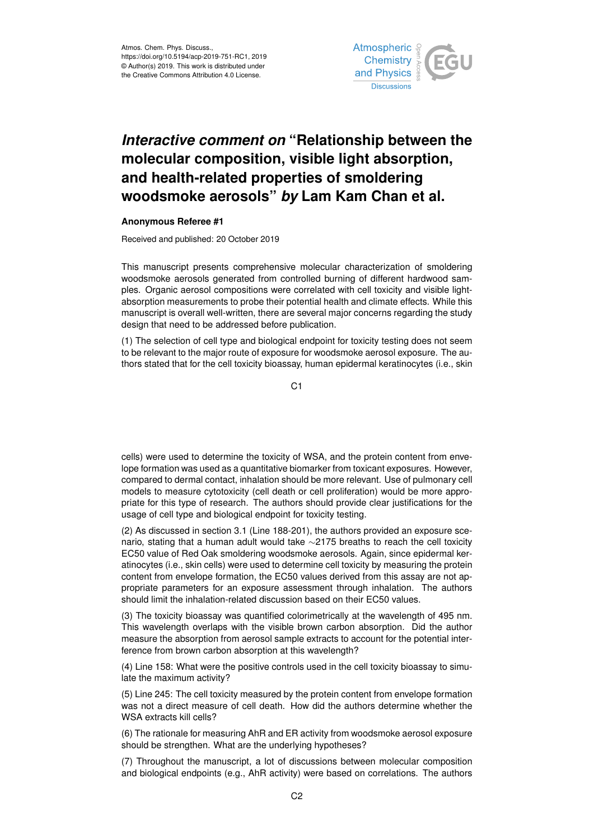

## *Interactive comment on* **"Relationship between the molecular composition, visible light absorption, and health-related properties of smoldering woodsmoke aerosols"** *by* **Lam Kam Chan et al.**

## **Anonymous Referee #1**

Received and published: 20 October 2019

This manuscript presents comprehensive molecular characterization of smoldering woodsmoke aerosols generated from controlled burning of different hardwood samples. Organic aerosol compositions were correlated with cell toxicity and visible lightabsorption measurements to probe their potential health and climate effects. While this manuscript is overall well-written, there are several major concerns regarding the study design that need to be addressed before publication.

(1) The selection of cell type and biological endpoint for toxicity testing does not seem to be relevant to the major route of exposure for woodsmoke aerosol exposure. The authors stated that for the cell toxicity bioassay, human epidermal keratinocytes (i.e., skin

C1

cells) were used to determine the toxicity of WSA, and the protein content from envelope formation was used as a quantitative biomarker from toxicant exposures. However, compared to dermal contact, inhalation should be more relevant. Use of pulmonary cell models to measure cytotoxicity (cell death or cell proliferation) would be more appropriate for this type of research. The authors should provide clear justifications for the usage of cell type and biological endpoint for toxicity testing.

(2) As discussed in section 3.1 (Line 188-201), the authors provided an exposure scenario, stating that a human adult would take ∼2175 breaths to reach the cell toxicity EC50 value of Red Oak smoldering woodsmoke aerosols. Again, since epidermal keratinocytes (i.e., skin cells) were used to determine cell toxicity by measuring the protein content from envelope formation, the EC50 values derived from this assay are not appropriate parameters for an exposure assessment through inhalation. The authors should limit the inhalation-related discussion based on their EC50 values.

(3) The toxicity bioassay was quantified colorimetrically at the wavelength of 495 nm. This wavelength overlaps with the visible brown carbon absorption. Did the author measure the absorption from aerosol sample extracts to account for the potential interference from brown carbon absorption at this wavelength?

(4) Line 158: What were the positive controls used in the cell toxicity bioassay to simulate the maximum activity?

(5) Line 245: The cell toxicity measured by the protein content from envelope formation was not a direct measure of cell death. How did the authors determine whether the WSA extracts kill cells?

(6) The rationale for measuring AhR and ER activity from woodsmoke aerosol exposure should be strengthen. What are the underlying hypotheses?

(7) Throughout the manuscript, a lot of discussions between molecular composition and biological endpoints (e.g., AhR activity) were based on correlations. The authors